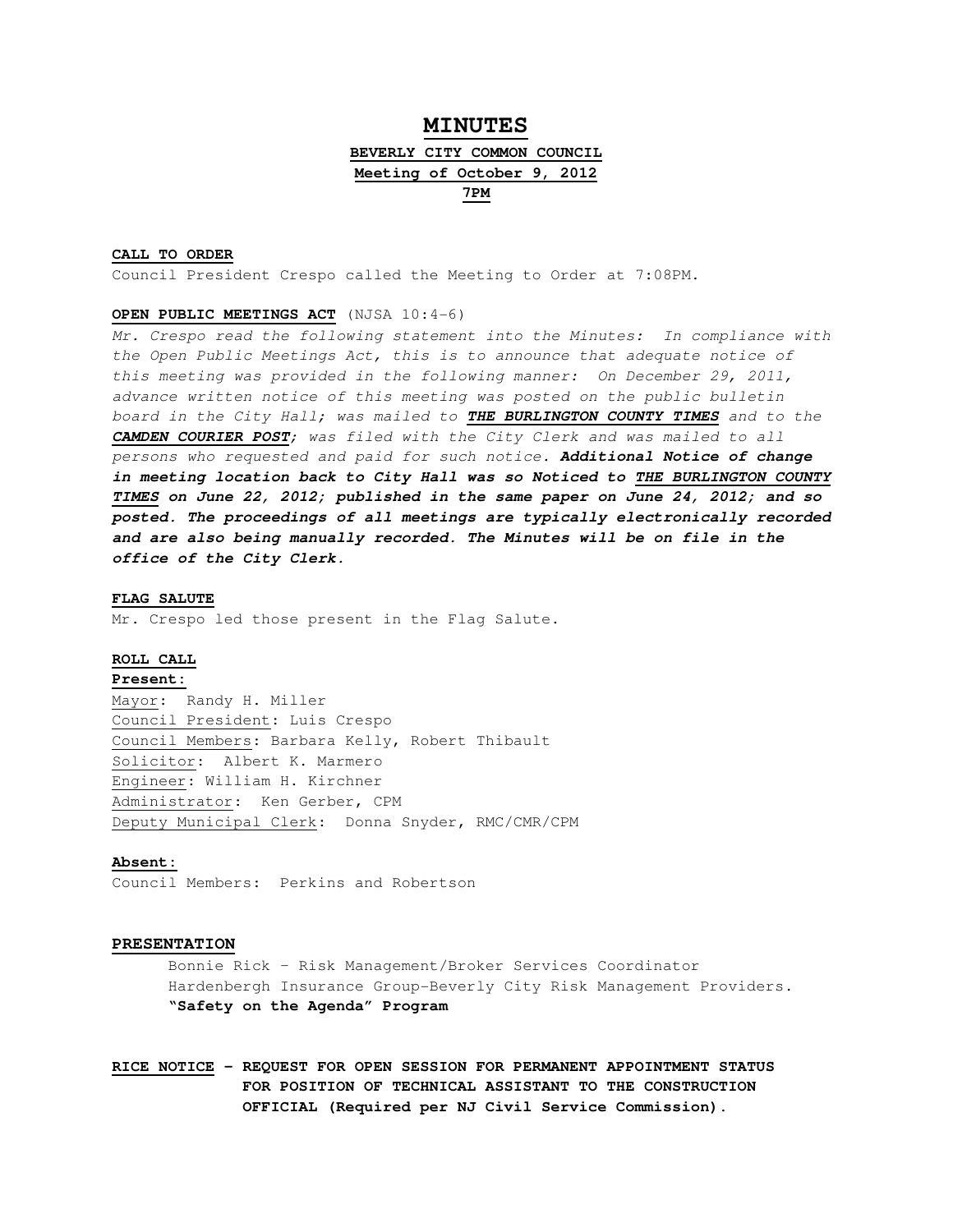# **MINUTES**

# **BEVERLY CITY COMMON COUNCIL Meeting of October 9, 2012**

**7PM**

## **CALL TO ORDER**

Council President Crespo called the Meeting to Order at 7:08PM.

### **OPEN PUBLIC MEETINGS ACT** (NJSA 10:4-6)

Mr. Crespo read the following statement into the Minutes: In compliance with the Open Public Meetings Act, this is to announce that adequate notice of this meeting was provided in the following manner: On December 29, 2011, advance written notice of this meeting was posted on the public bulletin board in the City Hall; was mailed to **THE BURLINGTON COUNTY TIMES** and to the **CAMDEN COURIER POST**; was filed with the City Clerk and was mailed to all persons who requested and paid for such notice. **Additional Notice of change in meeting location back to City Hall was so Noticed to THE BURLINGTON COUNTY TIMES on June 22, 2012; published in the same paper on June 24, 2012; and so posted. The proceedings of all meetings are typically electronically recorded and are also being manually recorded. The Minutes will be on file in the office of the City Clerk.** 

### **FLAG SALUTE**

Mr. Crespo led those present in the Flag Salute.

## **ROLL CALL**

## **Present:**

Mayor: Randy H. Miller Council President: Luis Crespo Council Members: Barbara Kelly, Robert Thibault Solicitor: Albert K. Marmero Engineer: William H. Kirchner Administrator: Ken Gerber, CPM Deputy Municipal Clerk: Donna Snyder, RMC/CMR/CPM

## **Absent:**

Council Members: Perkins and Robertson

### **PRESENTATION**

 Bonnie Rick – Risk Management/Broker Services Coordinator Hardenbergh Insurance Group-Beverly City Risk Management Providers. **"Safety on the Agenda" Program** 

**RICE NOTICE – REQUEST FOR OPEN SESSION FOR PERMANENT APPOINTMENT STATUS FOR POSITION OF TECHNICAL ASSISTANT TO THE CONSTRUCTION OFFICIAL (Required per NJ Civil Service Commission).**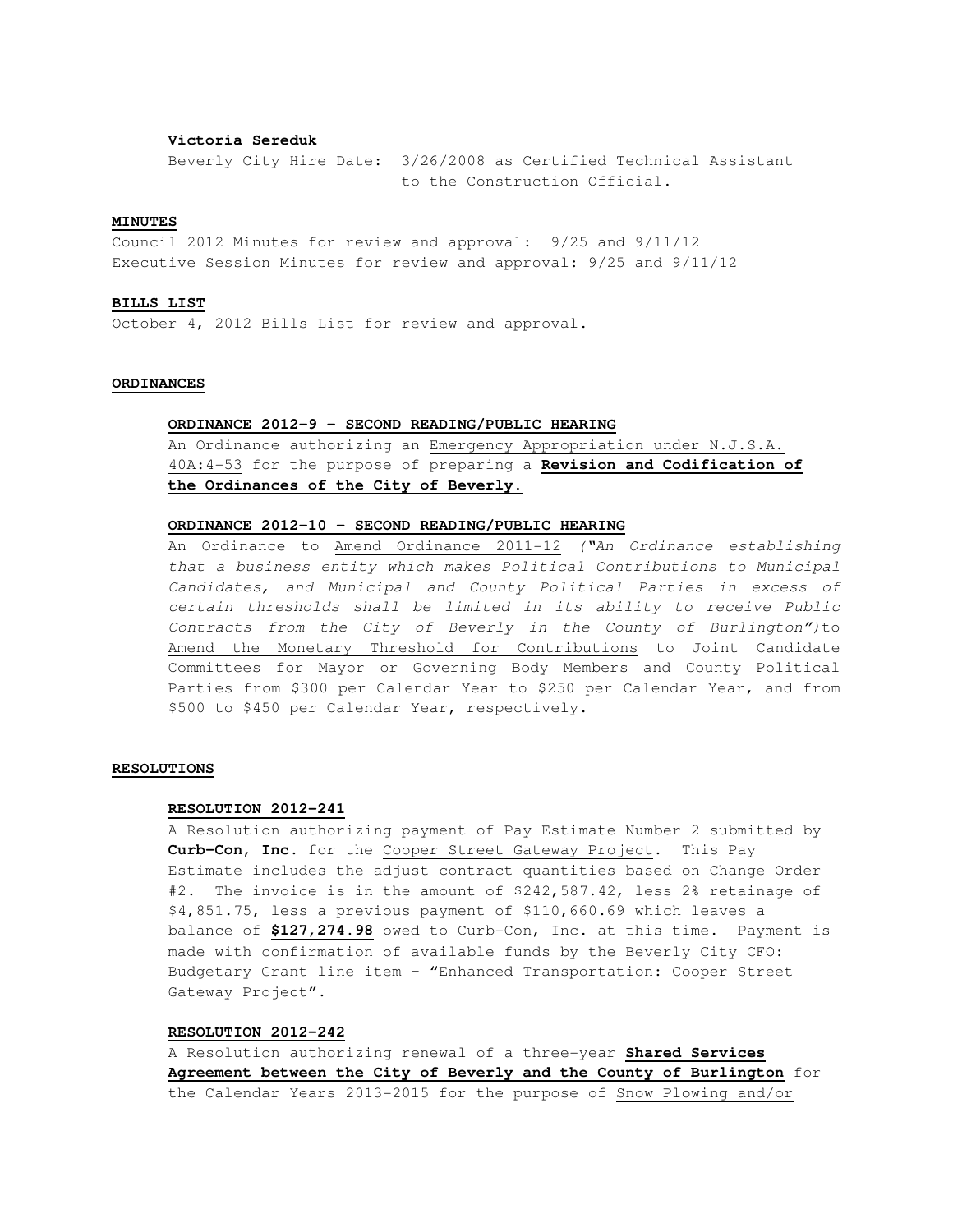## **Victoria Sereduk**

Beverly City Hire Date: 3/26/2008 as Certified Technical Assistant to the Construction Official.

## **MINUTES**

Council 2012 Minutes for review and approval: 9/25 and 9/11/12 Executive Session Minutes for review and approval: 9/25 and 9/11/12

### **BILLS LIST**

October 4, 2012 Bills List for review and approval.

# **ORDINANCES**

## **ORDINANCE 2012-9 – SECOND READING/PUBLIC HEARING**

 An Ordinance authorizing an Emergency Appropriation under N.J.S.A. 40A:4-53 for the purpose of preparing a **Revision and Codification of the Ordinances of the City of Beverly**.

## **ORDINANCE 2012-10 – SECOND READING/PUBLIC HEARING**

An Ordinance to Amend Ordinance 2011-12 ("An Ordinance establishing that a business entity which makes Political Contributions to Municipal Candidates, and Municipal and County Political Parties in excess of certain thresholds shall be limited in its ability to receive Public Contracts from the City of Beverly in the County of Burlington")to Amend the Monetary Threshold for Contributions to Joint Candidate Committees for Mayor or Governing Body Members and County Political Parties from \$300 per Calendar Year to \$250 per Calendar Year, and from \$500 to \$450 per Calendar Year, respectively.

### **RESOLUTIONS**

### **RESOLUTION 2012-241**

A Resolution authorizing payment of Pay Estimate Number 2 submitted by **Curb-Con, Inc**. for the Cooper Street Gateway Project. This Pay Estimate includes the adjust contract quantities based on Change Order #2. The invoice is in the amount of \$242,587.42, less 2% retainage of \$4,851.75, less a previous payment of \$110,660.69 which leaves a balance of **\$127,274.98** owed to Curb-Con, Inc. at this time. Payment is made with confirmation of available funds by the Beverly City CFO: Budgetary Grant line item – "Enhanced Transportation: Cooper Street Gateway Project".

# **RESOLUTION 2012-242**

A Resolution authorizing renewal of a three-year **Shared Services Agreement between the City of Beverly and the County of Burlington** for the Calendar Years 2013-2015 for the purpose of Snow Plowing and/or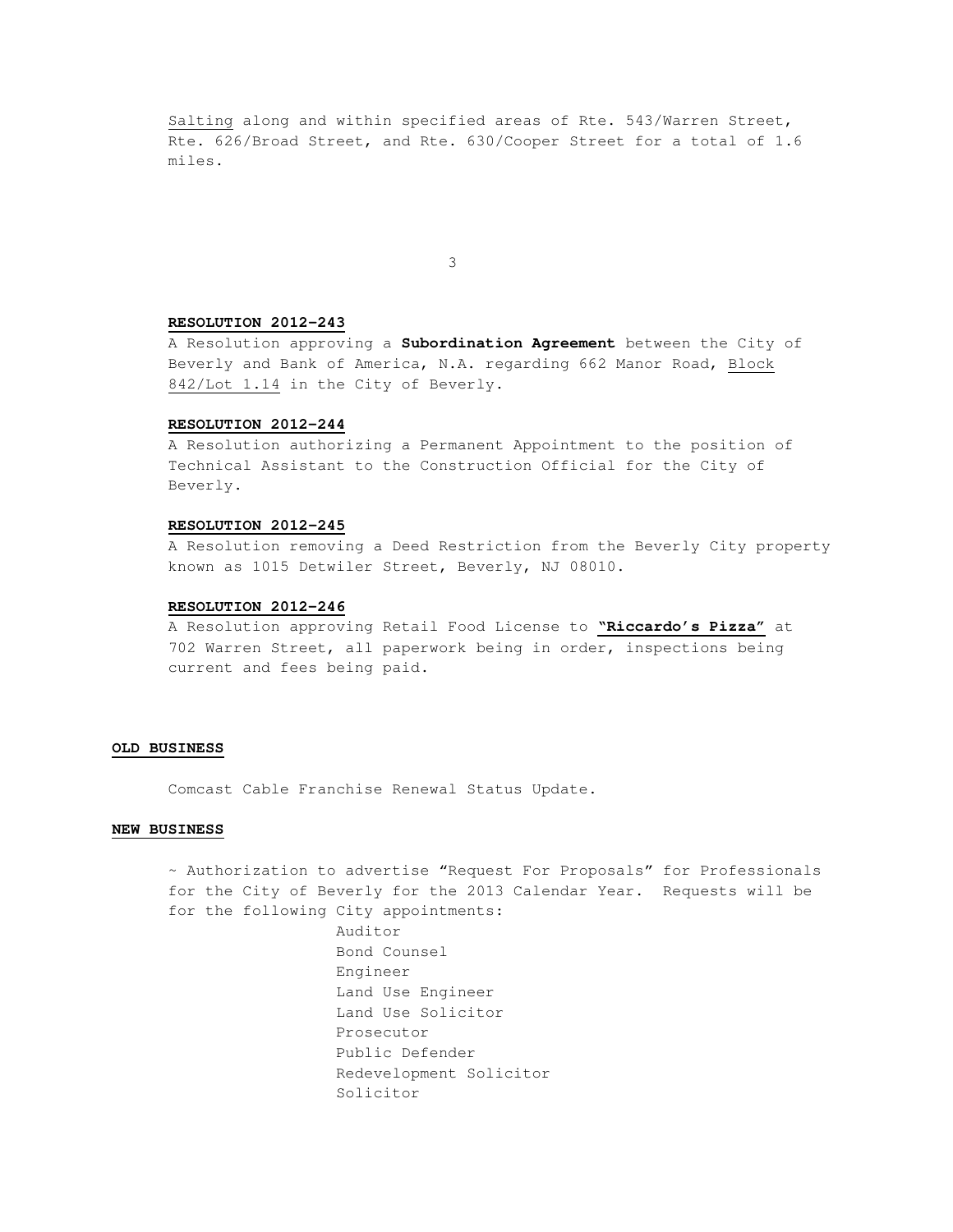Salting along and within specified areas of Rte. 543/Warren Street, Rte. 626/Broad Street, and Rte. 630/Cooper Street for a total of 1.6 miles.

3

## **RESOLUTION 2012-243**

A Resolution approving a **Subordination Agreement** between the City of Beverly and Bank of America, N.A. regarding 662 Manor Road, Block 842/Lot 1.14 in the City of Beverly.

## **RESOLUTION 2012-244**

A Resolution authorizing a Permanent Appointment to the position of Technical Assistant to the Construction Official for the City of Beverly.

#### **RESOLUTION 2012-245**

 A Resolution removing a Deed Restriction from the Beverly City property known as 1015 Detwiler Street, Beverly, NJ 08010.

### **RESOLUTION 2012-246**

 A Resolution approving Retail Food License to **"Riccardo's Pizza"** at 702 Warren Street, all paperwork being in order, inspections being current and fees being paid.

### **OLD BUSINESS**

Comcast Cable Franchise Renewal Status Update.

### **NEW BUSINESS**

~ Authorization to advertise "Request For Proposals" for Professionals for the City of Beverly for the 2013 Calendar Year. Requests will be for the following City appointments:

> Auditor Bond Counsel Engineer Land Use Engineer Land Use Solicitor Prosecutor Public Defender Redevelopment Solicitor Solicitor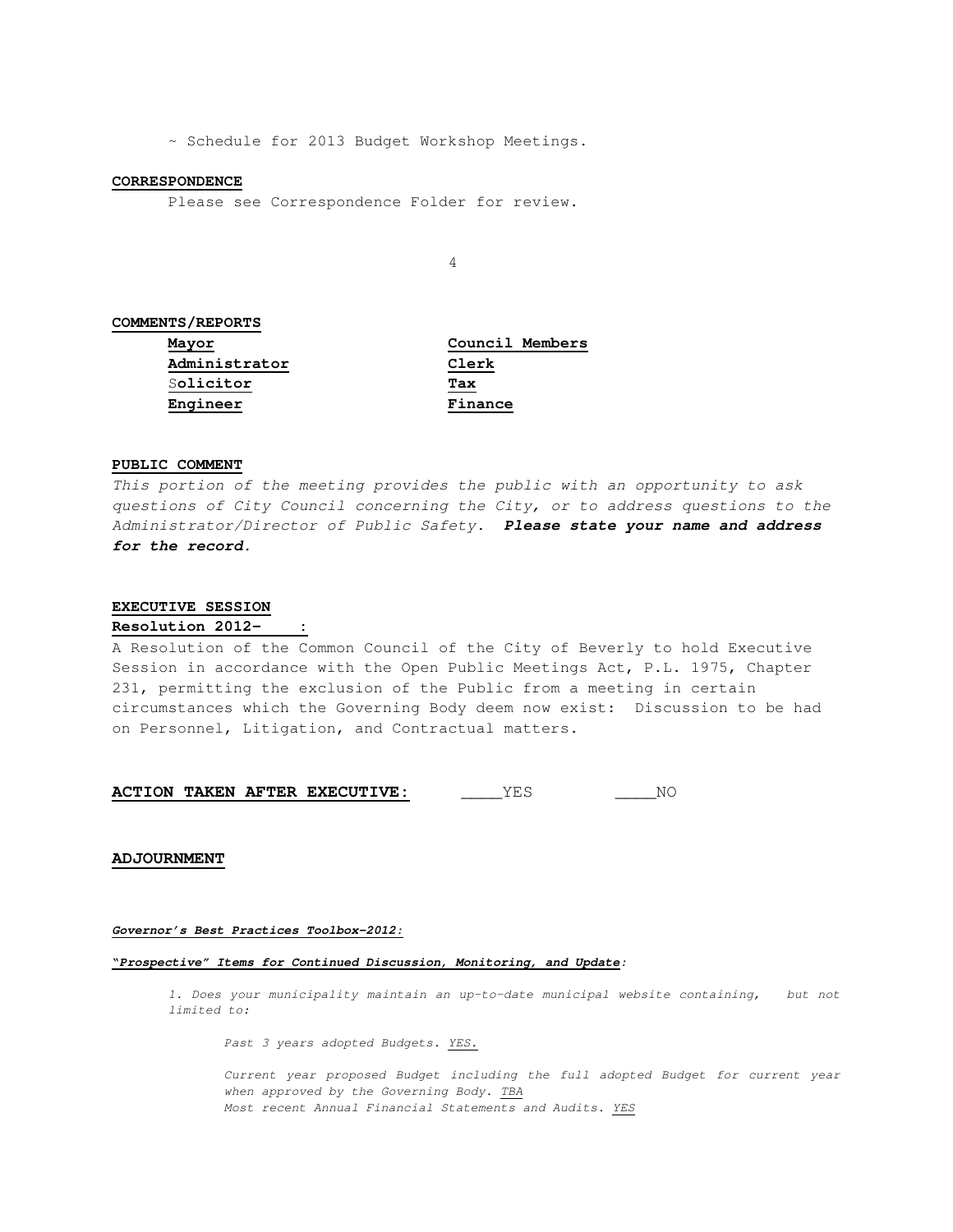~ Schedule for 2013 Budget Workshop Meetings.

#### **CORRESPONDENCE**

Please see Correspondence Folder for review.

4

# **COMMENTS/REPORTS**

**Mayor Council Members Administrator Clerk** S**olicitor Tax Engineer Finance**

## **PUBLIC COMMENT**

This portion of the meeting provides the public with an opportunity to ask questions of City Council concerning the City, or to address questions to the Administrator/Director of Public Safety. **Please state your name and address for the record.** 

### **EXECUTIVE SESSION**

### **Resolution 2012- :**

A Resolution of the Common Council of the City of Beverly to hold Executive Session in accordance with the Open Public Meetings Act, P.L. 1975, Chapter 231, permitting the exclusion of the Public from a meeting in certain circumstances which the Governing Body deem now exist: Discussion to be had on Personnel, Litigation, and Contractual matters.

**ACTION TAKEN AFTER EXECUTIVE:** \_\_\_\_\_YES \_\_\_\_\_\_NO

## **ADJOURNMENT**

### **Governor's Best Practices Toolbox-2012:**

**"Prospective" Items for Continued Discussion, Monitoring, and Update:**

1. Does your municipality maintain an up-to-date municipal website containing, but not limited to:

Past 3 years adopted Budgets. YES.

Current year proposed Budget including the full adopted Budget for current year when approved by the Governing Body. TBA Most recent Annual Financial Statements and Audits. YES